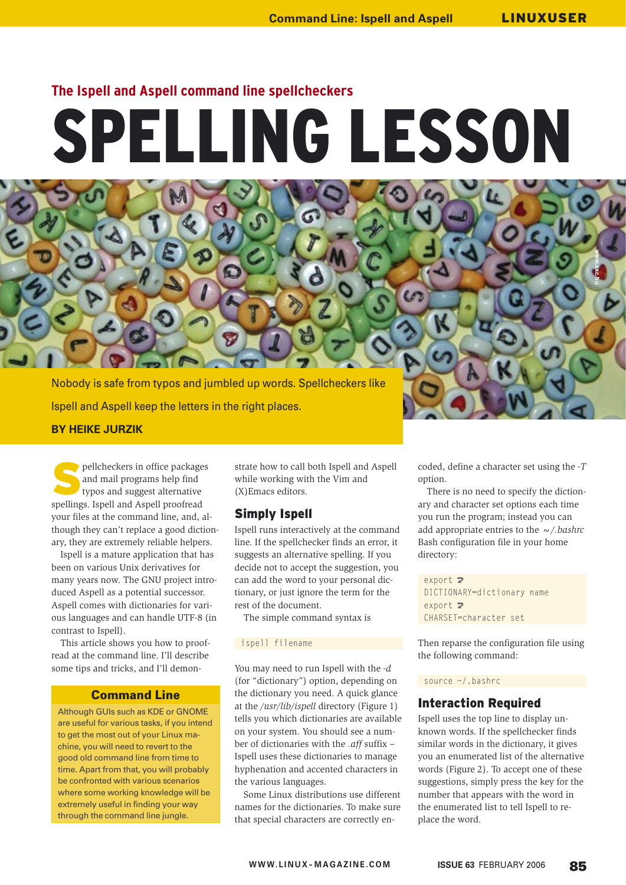**www.sxc.hu**

# **The Ispell and Aspell command line spellcheckers**

# SPELLING LESSON

Nobody is safe from typos and jumbled up words. Spellcheckers like Ispell and Aspell keep the letters in the right places. **BY HEIKE JURZIK**

pellcheckers in office packages and mail programs help find typos and suggest alternative spellings. Ispell and Aspell proofread your files at the command line, and, although they can't replace a good dictionary, they are extremely reliable helpers.

Ispell is a mature application that has been on various Unix derivatives for many years now. The GNU project introduced Aspell as a potential successor. Aspell comes with dictionaries for various languages and can handle UTF-8 (in contrast to Ispell).

This article shows you how to proofread at the command line. I'll describe some tips and tricks, and I'll demon-

## Command Line

Although GUIs such as KDE or GNOME are useful for various tasks, if you intend to get the most out of your Linux machine, you will need to revert to the good old command line from time to time. Apart from that, you will probably be confronted with various scenarios where some working knowledge will be extremely useful in finding your way through the command line jungle.

strate how to call both Ispell and Aspell while working with the Vim and (X)Emacs editors.

## Simply Ispell

Ispell runs interactively at the command line. If the spellchecker finds an error, it suggests an alternative spelling. If you decide not to accept the suggestion, you can add the word to your personal dictionary, or just ignore the term for the rest of the document.

The simple command syntax is

#### ispell filename

You may need to run Ispell with the *-d* (for "dictionary") option, depending on the dictionary you need. A quick glance at the */usr/lib/ispell* directory (Figure 1) tells you which dictionaries are available on your system. You should see a number of dictionaries with the *.aff* suffix – Ispell uses these dictionaries to manage hyphenation and accented characters in the various languages.

Some Linux distributions use different names for the dictionaries. To make sure that special characters are correctly encoded, define a character set using the *-T* option.

There is no need to specify the dictionary and character set options each time you run the program; instead you can add appropriate entries to the *~/.bashrc* Bash configuration file in your home directory:

 $export$   $\mathbf{z}$ DICTIONARY=dictionary name  $export$   $\overline{z}$ CHARSET=character set

Then reparse the configuration file using the following command:

#### source ~/.bashrc

## Interaction Required

Ispell uses the top line to display unknown words. If the spellchecker finds similar words in the dictionary, it gives you an enumerated list of the alternative words (Figure 2). To accept one of these suggestions, simply press the key for the number that appears with the word in the enumerated list to tell Ispell to replace the word.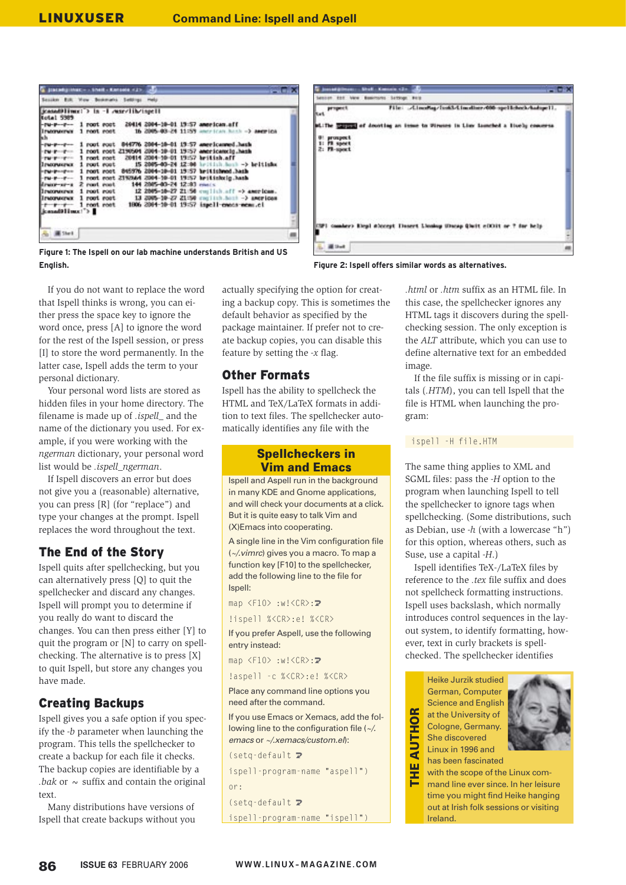| C pacety max - - their - Kenses - 17      |  |             |                            |  |                                                                         |  |
|-------------------------------------------|--|-------------|----------------------------|--|-------------------------------------------------------------------------|--|
| Session Edit View Bestman's Settings Help |  |             |                            |  |                                                                         |  |
| icasad)lime: > in -1 marvlib/ispell       |  |             |                            |  |                                                                         |  |
| <b>Notal 5389</b><br>$-74 - 8 - -7 - -$   |  |             |                            |  | 1 root root 20414 2004-10-01 19:57 american.aff                         |  |
| h h                                       |  |             |                            |  | Elisamenter 1 novt nost 16 2005-03-24 11:59 annualization has a angeles |  |
| $-14 - 1 - 1 -$                           |  |             |                            |  | 1 root root 844776 2004-10-01 19:57 americanned hash                    |  |
| $-100 - 100$                              |  |             |                            |  | 1 root root 2190504 2004-10-01 19:57 americancie hash                   |  |
| <b>CONTRACTOR</b>                         |  |             |                            |  | 1 root root 20414 2004-10-01 19:57 british.aff                          |  |
| Ireconvenue 1 root root                   |  |             |                            |  | 15 2005-03-24 12:00 hritish.hosh -> britishs                            |  |
| $-rw-r=-r=-1$ root root                   |  |             |                            |  | 845976 2004-10-01 19:57 hr: Historical Jush                             |  |
|                                           |  |             |                            |  | Pu-P--P- 3 root cost 219344 2004-30-01 19:57 heitiskeig.hash            |  |
| dram-ar-a 2 root root                     |  |             | 144 2005-03-24 12:03 monts |  |                                                                         |  |
| <b>Il pacorumento</b>                     |  |             |                            |  | 1 root root 12 2005-10-27 21:50 cm lish aff => american.                |  |
| <b>Inconvent</b>                          |  | 1 root root |                            |  | 13 2005-30-27 21:50 continuant -> american                              |  |
| $-1 - 1 - 1 -$                            |  |             |                            |  | 1 root root 1806 2004-10-01 19:57 inpell-enous-nem.cl                   |  |
| kanadilling!">                            |  |             |                            |  |                                                                         |  |
|                                           |  |             |                            |  |                                                                         |  |
| E Sherik                                  |  |             |                            |  |                                                                         |  |
|                                           |  |             |                            |  |                                                                         |  |



**Figure 1: The Ispell on our lab machine understands British and US English. Figure 2: Ispell offers similar words as alternatives.**

If you do not want to replace the word that Ispell thinks is wrong, you can either press the space key to ignore the word once, press [A] to ignore the word for the rest of the Ispell session, or press [I] to store the word permanently. In the latter case, Ispell adds the term to your personal dictionary.

Your personal word lists are stored as hidden files in your home directory. The filename is made up of *.ispell\_* and the name of the dictionary you used. For example, if you were working with the *ngerman* dictionary, your personal word list would be *.ispell\_ngerman*.

If Ispell discovers an error but does not give you a (reasonable) alternative, you can press [R] (for "replace") and type your changes at the prompt. Ispell replaces the word throughout the text.

# The End of the Story

Ispell quits after spellchecking, but you can alternatively press [Q] to quit the spellchecker and discard any changes. Ispell will prompt you to determine if you really do want to discard the changes. You can then press either [Y] to quit the program or [N] to carry on spellchecking. The alternative is to press [X] to quit Ispell, but store any changes you have made.

# Creating Backups

Ispell gives you a safe option if you specify the *-b* parameter when launching the program. This tells the spellchecker to create a backup for each file it checks. The backup copies are identifiable by a *bak* or  $\sim$  suffix and contain the original text.

Many distributions have versions of Ispell that create backups without you actually specifying the option for creating a backup copy. This is sometimes the default behavior as specified by the package maintainer. If prefer not to create backup copies, you can disable this feature by setting the *-x* flag.

# Other Formats

Ispell has the ability to spellcheck the HTML and TeX/LaTeX formats in addition to text files. The spellchecker automatically identifies any file with the

## Spellcheckers in Vim and Emacs

Ispell and Aspell run in the background in many KDE and Gnome applications, and will check your documents at a click. But it is quite easy to talk Vim and (X)Emacs into cooperating.

A single line in the Vim configuration file (~/.vimrc) gives you a macro. To map a function key [F10] to the spellchecker, add the following line to the file for Ispell:

map  $\langle$ F10 $\rangle$  :w! $\langle$ CR $\rangle$ : $\mathbb{Z}$ 

!ispell %<CR>:e! %<CR>

If you prefer Aspell, use the following entry instead:

map  $\langle$ F10> :w! $\langle$ CR>:2

!aspell -c %<CR>:e! %<CR>

Place any command line options you need after the command.

If you use Emacs or Xemacs, add the following line to the configuration file (~/. emacs or ~/.xemacs/custom.el):

 $(seta-default)$ ispell-program-name "aspell") or:  $(seta-default$ 

ispell-program-name "ispell")

*.html* or *.htm* suffix as an HTML file. In this case, the spellchecker ignores any HTML tags it discovers during the spellchecking session. The only exception is the *ALT* attribute, which you can use to define alternative text for an embedded image.

If the file suffix is missing or in capitals (*.HTM*), you can tell Ispell that the file is HTML when launching the program:

#### ispell -H file.HTM

The same thing applies to XML and SGML files: pass the *-H* option to the program when launching Ispell to tell the spellchecker to ignore tags when spellchecking. (Some distributions, such as Debian, use *-h* (with a lowercase "h") for this option, whereas others, such as Suse, use a capital *-H*.)

Ispell identifies TeX-/LaTeX files by reference to the *.tex* file suffix and does not spellcheck formatting instructions. Ispell uses backslash, which normally introduces control sequences in the layout system, to identify formatting, however, text in curly brackets is spellchecked. The spellchecker identifies

> Heike Jurzik studied German, Computer Science and English at the University of Cologne, Germany. She discovered Linux in 1996 and

œ  $\frac{\overline{Q}}{I}$ 

**AUT** 

has been fascinated



THE AUTHOR ω with the scope of the Linux com-Ξ mand line ever since. In her leisure time you might find Heike hanging out at Irish folk sessions or visiting **Ireland**